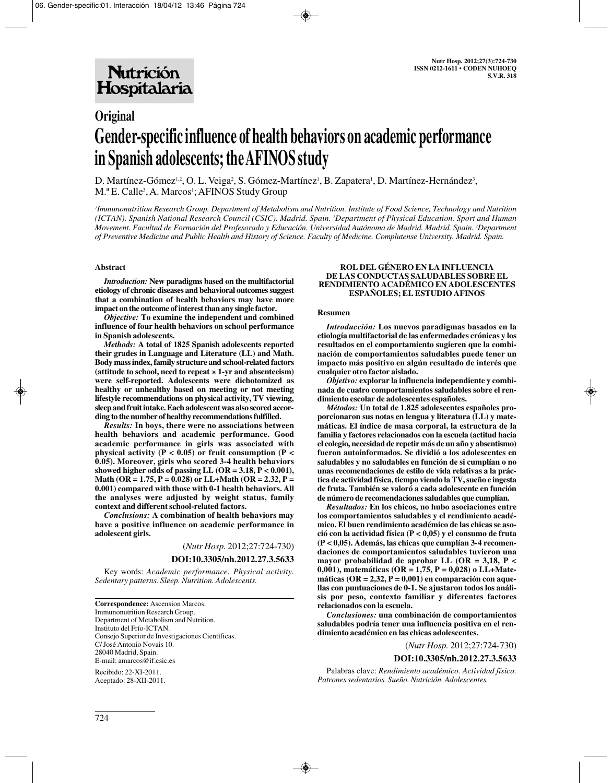# **Original Gender-specific influence of health behaviors on academic performance in Spanish adolescents; the AFINOS study**

D. Martínez-Gómez<sup>1,2</sup>, O. L. Veiga<sup>2</sup>, S. Gómez-Martínez<sup>1</sup>, B. Zapatera<sup>1</sup>, D. Martínez-Hernández<sup>3</sup>, M.ª E. Calle<sup>3</sup>, A. Marcos<sup>1</sup>; AFINOS Study Group

*1 Immunonutrition Research Group. Department of Metabolism and Nutrition. Institute of Food Science, Technology and Nutrition (ICTAN). Spanish National Research Council (CSIC). Madrid. Spain. 2 Department of Physical Education. Sport and Human Movement. Facultad de Formación del Profesorado y Educación. Universidad Autónoma de Madrid. Madrid. Spain. 3 Department of Preventive Medicine and Public Health and History of Science. Faculty of Medicine. Complutense University. Madrid. Spain.*

#### **Abstract**

*Introduction:* **New paradigms based on the multifactorial etiology of chronic diseases and behavioral outcomes suggest that a combination of health behaviors may have more impact on the outcome of interest than any single factor.**

*Objective:* **To examine the independent and combined influence of four health behaviors on school performance in Spanish adolescents.** 

*Methods:* **A total of 1825 Spanish adolescents reported their grades in Language and Literature (LL) and Math. Body mass index, family structure and school-related factors (attitude to school, need to repeat** ≥ **1-yr and absenteeism) were self-reported. Adolescents were dichotomized as healthy or unhealthy based on meeting or not meeting lifestyle recommendations on physical activity, TV viewing, sleep and fruit intake. Each adolescent was also scored according to the number of healthy recommendations fulfilled.** 

*Results:* **In boys, there were no associations between health behaviors and academic performance. Good academic performance in girls was associated with physical activity (P < 0.05) or fruit consumption (P < 0.05). Moreover, girls who scored 3-4 health behaviors showed higher odds of passing LL (OR = 3.18, P < 0.001), Math (OR = 1.75, P = 0.028) or LL+Math (OR = 2.32, P = 0.001) compared with those with 0-1 health behaviors. All the analyses were adjusted by weight status, family context and different school-related factors.** 

*Conclusions:* **A combination of health behaviors may have a positive influence on academic performance in adolescent girls.**

(*Nutr Hosp.* 2012;27:724-730)

**DOI:10.3305/nh.2012.27.3.5633**

Key words: *Academic performance. Physical activity. Sedentary patterns. Sleep. Nutrition. Adolescents.*

**Correspondence:** Ascension Marcos. Immunonutrition Research Group. Department of Metabolism and Nutrition. Instituto del Frío-ICTAN. Consejo Superior de Investigaciones Científicas. C/ José Antonio Novais 10. 28040 Madrid, Spain. E-mail: amarcos@if.csic.es

Recibido: 22-XI-2011. Aceptado: 28-XII-2011.

#### **ROL DEL GÉNERO EN LA INFLUENCIA DE LAS CONDUCTAS SALUDABLES SOBRE EL RENDIMIENTO ACADÉMICO EN ADOLESCENTES ESPAÑOLES; EL ESTUDIO AFINOS**

#### **Resumen**

*Introducción:* **Los nuevos paradigmas basados en la etiología multifactorial de las enfermedades crónicas y los resultados en el comportamiento sugieren que la combinación de comportamientos saludables puede tener un impacto más positivo en algún resultado de interés que cualquier otro factor aislado.** 

*Objetivo:* **explorar la influencia independiente y combinada de cuatro comportamientos saludables sobre el rendimiento escolar de adolescentes españoles.** 

*Métodos:* **Un total de 1.825 adolescentes españoles proporcionaron sus notas en lengua y literatura (LL) y matemáticas. El índice de masa corporal, la estructura de la familia y factores relacionados con la escuela (actitud hacia el colegio, necesidad de repetir más de un año y absentismo) fueron autoinformados. Se dividió a los adolescentes en saludables y no saludables en función de si cumplían o no unas recomendaciones de estilo de vida relativas a la práctica de actividad física, tiempo viendo la TV, sueño e ingesta de fruta. También se valoró a cada adolescente en función de número de recomendaciones saludables que cumplían.** 

*Resultados:* **En los chicos, no hubo asociaciones entre los comportamientos saludables y el rendimiento académico. El buen rendimiento académico de las chicas se asoció con la actividad física (P < 0,05) y el consumo de fruta (P < 0,05). Además, las chicas que cumplían 3-4 recomendaciones de comportamientos saludables tuvieron una mayor probabilidad de aprobar LL (OR = 3,18, P < 0,001), matemáticas (OR = 1,75, P = 0,028) o LL+Matemáticas (OR = 2,32, P = 0,001) en comparación con aquellas con puntuaciones de 0-1. Se ajustaron todos los análisis por peso, contexto familiar y diferentes factores relacionados con la escuela.** 

*Conclusiones:* **una combinación de comportamientos saludables podría tener una influencia positiva en el rendimiento académico en las chicas adolescentes.**

(*Nutr Hosp.* 2012;27:724-730)

#### **DOI:10.3305/nh.2012.27.3.5633**

Palabras clave: *Rendimiento académico. Actividad física. Patrones sedentarios. Sueño. Nutrición. Adolescentes.*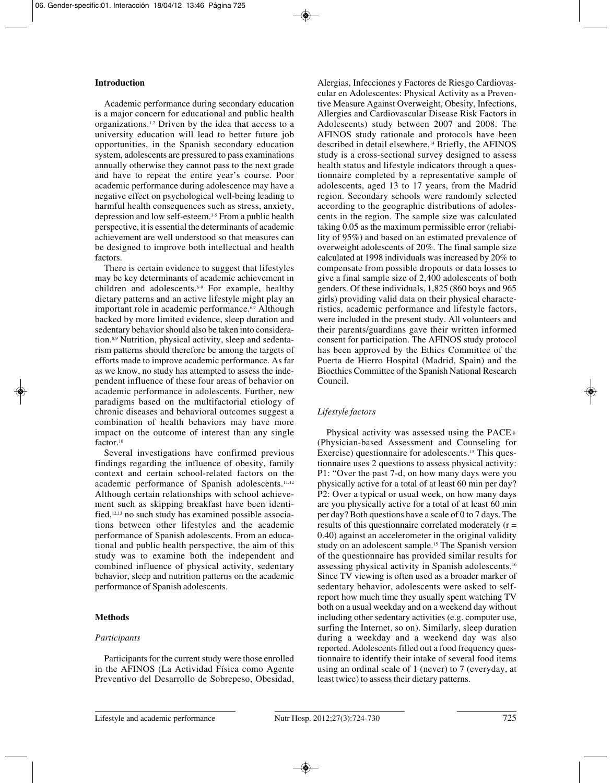## **Introduction**

Academic performance during secondary education is a major concern for educational and public health organizations.1,2 Driven by the idea that access to a university education will lead to better future job opportunities, in the Spanish secondary education system, adolescents are pressured to pass examinations annually otherwise they cannot pass to the next grade and have to repeat the entire year's course. Poor academic performance during adolescence may have a negative effect on psychological well-being leading to harmful health consequences such as stress, anxiety, depression and low self-esteem.3-5 From a public health perspective, it is essential the determinants of academic achievement are well understood so that measures can be designed to improve both intellectual and health factors.

There is certain evidence to suggest that lifestyles may be key determinants of academic achievement in children and adolescents.6-9 For example, healthy dietary patterns and an active lifestyle might play an important role in academic performance.<sup>6,7</sup> Although backed by more limited evidence, sleep duration and sedentary behavior should also be taken into consideration.8,9 Nutrition, physical activity, sleep and sedentarism patterns should therefore be among the targets of efforts made to improve academic performance. As far as we know, no study has attempted to assess the independent influence of these four areas of behavior on academic performance in adolescents. Further, new paradigms based on the multifactorial etiology of chronic diseases and behavioral outcomes suggest a combination of health behaviors may have more impact on the outcome of interest than any single factor.<sup>10</sup>

Several investigations have confirmed previous findings regarding the influence of obesity, family context and certain school-related factors on the academic performance of Spanish adolescents.<sup>11,12</sup> Although certain relationships with school achievement such as skipping breakfast have been identified,12,13 no such study has examined possible associations between other lifestyles and the academic performance of Spanish adolescents. From an educational and public health perspective, the aim of this study was to examine both the independent and combined influence of physical activity, sedentary behavior, sleep and nutrition patterns on the academic performance of Spanish adolescents.

## **Methods**

## *Participants*

Participants for the current study were those enrolled in the AFINOS (La Actividad Física como Agente Preventivo del Desarrollo de Sobrepeso, Obesidad, Alergias, Infecciones y Factores de Riesgo Cardiovascular en Adolescentes: Physical Activity as a Preventive Measure Against Overweight, Obesity, Infections, Allergies and Cardiovascular Disease Risk Factors in Adolescents) study between 2007 and 2008. The AFINOS study rationale and protocols have been described in detail elsewhere.14 Briefly, the AFINOS study is a cross-sectional survey designed to assess health status and lifestyle indicators through a questionnaire completed by a representative sample of adolescents, aged 13 to 17 years, from the Madrid region. Secondary schools were randomly selected according to the geographic distributions of adolescents in the region. The sample size was calculated taking 0.05 as the maximum permissible error (reliability of 95%) and based on an estimated prevalence of overweight adolescents of 20%. The final sample size calculated at 1998 individuals was increased by 20% to compensate from possible dropouts or data losses to give a final sample size of 2,400 adolescents of both genders. Of these individuals, 1,825 (860 boys and 965 girls) providing valid data on their physical characteristics, academic performance and lifestyle factors, were included in the present study. All volunteers and their parents/guardians gave their written informed consent for participation. The AFINOS study protocol has been approved by the Ethics Committee of the Puerta de Hierro Hospital (Madrid, Spain) and the Bioethics Committee of the Spanish National Research Council.

# *Lifestyle factors*

Physical activity was assessed using the PACE+ (Physician-based Assessment and Counseling for Exercise) questionnaire for adolescents.15 This questionnaire uses 2 questions to assess physical activity: P1: "Over the past 7-d, on how many days were you physically active for a total of at least 60 min per day? P2: Over a typical or usual week, on how many days are you physically active for a total of at least 60 min per day? Both questions have a scale of 0 to 7 days. The results of this questionnaire correlated moderately  $(r =$ 0.40) against an accelerometer in the original validity study on an adolescent sample.15 The Spanish version of the questionnaire has provided similar results for assessing physical activity in Spanish adolescents.16 Since TV viewing is often used as a broader marker of sedentary behavior, adolescents were asked to selfreport how much time they usually spent watching TV both on a usual weekday and on a weekend day without including other sedentary activities (e.g. computer use, surfing the Internet, so on). Similarly, sleep duration during a weekday and a weekend day was also reported. Adolescents filled out a food frequency questionnaire to identify their intake of several food items using an ordinal scale of 1 (never) to 7 (everyday, at least twice) to assess their dietary patterns.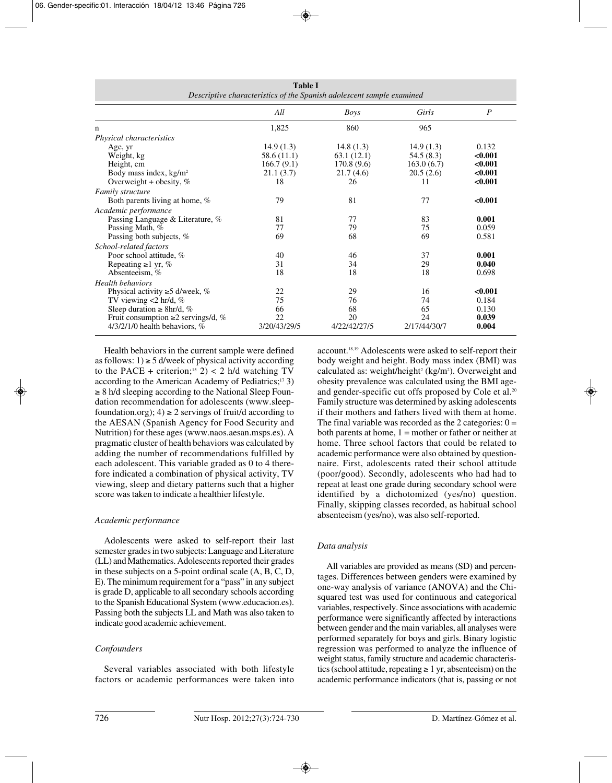| Descriptive characteristics of the Spanish adolescent sample examined |              |              |              |                  |  |  |  |  |
|-----------------------------------------------------------------------|--------------|--------------|--------------|------------------|--|--|--|--|
|                                                                       | All          | <b>Boys</b>  | Girls        | $\boldsymbol{P}$ |  |  |  |  |
| n                                                                     | 1,825        | 860          | 965          |                  |  |  |  |  |
| Physical characteristics                                              |              |              |              |                  |  |  |  |  |
| Age, yr                                                               | 14.9(1.3)    | 14.8 $(1.3)$ | 14.9(1.3)    | 0.132            |  |  |  |  |
| Weight, kg                                                            | 58.6 (11.1)  | 63.1(12.1)   | 54.5 (8.3)   | < 0.001          |  |  |  |  |
| Height, cm                                                            | 166.7(9.1)   | 170.8(9.6)   | 163.0(6.7)   | < 0.001          |  |  |  |  |
| Body mass index, $kg/m^2$                                             | 21.1(3.7)    | 21.7(4.6)    | 20.5(2.6)    | < 0.001          |  |  |  |  |
| Overweight + obesity, $%$                                             | 18           | 26           | 11           | < 0.001          |  |  |  |  |
| <b>Family structure</b>                                               |              |              |              |                  |  |  |  |  |
| Both parents living at home, %                                        | 79           | 81           | 77           | < 0.001          |  |  |  |  |
| Academic performance                                                  |              |              |              |                  |  |  |  |  |
| Passing Language & Literature, %                                      | 81           | 77           | 83           | 0.001            |  |  |  |  |
| Passing Math, %                                                       | 77           | 79           | 75           | 0.059            |  |  |  |  |
| Passing both subjects, %                                              | 69           | 68           | 69           | 0.581            |  |  |  |  |
| School-related factors                                                |              |              |              |                  |  |  |  |  |
| Poor school attitude, %                                               | 40           | 46           | 37           | 0.001            |  |  |  |  |
| Repeating $\geq 1$ yr, %                                              | 31           | 34           | 29           | 0.040            |  |  |  |  |
| Absenteeism, %                                                        | 18           | 18           | 18           | 0.698            |  |  |  |  |
| <b>Health</b> behaviors                                               |              |              |              |                  |  |  |  |  |
| Physical activity $\geq$ 5 d/week, %                                  | 22           | 29           | 16           | < 0.001          |  |  |  |  |
| TV viewing $<$ 2 hr/d, %                                              | 75           | 76           | 74           | 0.184            |  |  |  |  |
| Sleep duration $\geq 8$ hr/d, %                                       | 66           | 68           | 65           | 0.130            |  |  |  |  |
| Fruit consumption $\geq 2$ servings/d, %                              | 22           | 20           | 24           | 0.039            |  |  |  |  |
| $4/3/2/1/0$ health behaviors, %                                       | 3/20/43/29/5 | 4/22/42/27/5 | 2/17/44/30/7 | 0.004            |  |  |  |  |

**Table I**

Health behaviors in the current sample were defined as follows:  $1 \geq 5$  d/week of physical activity according to the PACE + criterion;<sup>15</sup> 2) < 2 h/d watching TV according to the American Academy of Pediatrics; $17$  3) ≥ 8 h/d sleeping according to the National Sleep Foundation recommendation for adolescents (www.sleepfoundation.org);  $4 \geq 2$  servings of fruit/d according to the AESAN (Spanish Agency for Food Security and Nutrition) for these ages (www.naos.aesan.msps.es). A pragmatic cluster of health behaviors was calculated by adding the number of recommendations fulfilled by each adolescent. This variable graded as 0 to 4 therefore indicated a combination of physical activity, TV viewing, sleep and dietary patterns such that a higher score was taken to indicate a healthier lifestyle.

## *Academic performance*

Adolescents were asked to self-report their last semester grades in two subjects: Language and Literature (LL) and Mathematics. Adolescents reported their grades in these subjects on a 5-point ordinal scale (A, B, C, D, E). The minimum requirement for a "pass" in any subject is grade D, applicable to all secondary schools according to the Spanish Educational System (www.educacion.es). Passing both the subjects LL and Math was also taken to indicate good academic achievement.

# *Confounders*

Several variables associated with both lifestyle factors or academic performances were taken into

account.18,19 Adolescents were asked to self-report their body weight and height. Body mass index (BMI) was calculated as: weight/height<sup>2</sup> (kg/m<sup>2</sup>). Overweight and obesity prevalence was calculated using the BMI ageand gender-specific cut offs proposed by Cole et al.20 Family structure was determined by asking adolescents if their mothers and fathers lived with them at home. The final variable was recorded as the 2 categories:  $0 =$ both parents at home,  $1 =$  mother or father or neither at home. Three school factors that could be related to academic performance were also obtained by questionnaire. First, adolescents rated their school attitude (poor/good). Secondly, adolescents who had had to repeat at least one grade during secondary school were identified by a dichotomized (yes/no) question. Finally, skipping classes recorded, as habitual school absenteeism (yes/no), was also self-reported.

# *Data analysis*

All variables are provided as means (SD) and percentages. Differences between genders were examined by one-way analysis of variance (ANOVA) and the Chisquared test was used for continuous and categorical variables, respectively. Since associations with academic performance were significantly affected by interactions between gender and the main variables, all analyses were performed separately for boys and girls. Binary logistic regression was performed to analyze the influence of weight status, family structure and academic characteristics (school attitude, repeating  $\geq 1$  yr, absenteeism) on the academic performance indicators (that is, passing or not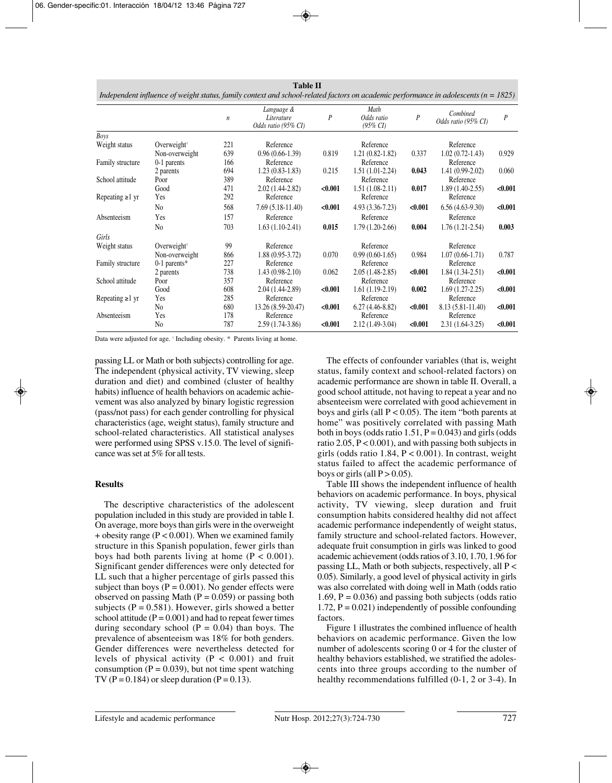|                                                                                                                                         |                         |     | <b>Table II</b>                                 |                |                                     |                |                                 |                |
|-----------------------------------------------------------------------------------------------------------------------------------------|-------------------------|-----|-------------------------------------------------|----------------|-------------------------------------|----------------|---------------------------------|----------------|
| Independent influence of weight status, family context and school-related factors on academic performance in adolescents ( $n = 1825$ ) |                         |     |                                                 |                |                                     |                |                                 |                |
|                                                                                                                                         |                         | n   | Language &<br>Literature<br>Odds ratio (95% CI) | $\overline{P}$ | Math<br>Odds ratio<br>$(95\% \ CI)$ | $\overline{P}$ | Combined<br>Odds ratio (95% CI) | $\overline{P}$ |
| Boys                                                                                                                                    |                         |     |                                                 |                |                                     |                |                                 |                |
| Weight status                                                                                                                           | Overweight®             | 221 | Reference                                       |                | Reference                           |                | Reference                       |                |
|                                                                                                                                         | Non-overweight          | 639 | $0.96(0.66-1.39)$                               | 0.819          | $1.21(0.82 - 1.82)$                 | 0.337          | $1.02(0.72 - 1.43)$             | 0.929          |
| Family structure                                                                                                                        | 0-1 parents             | 166 | Reference                                       |                | Reference                           |                | Reference                       |                |
|                                                                                                                                         | 2 parents               | 694 | $1.23(0.83-1.83)$                               | 0.215          | $1.51(1.01-2.24)$                   | 0.043          | $1.41(0.99-2.02)$               | 0.060          |
| School attitude                                                                                                                         | Poor                    | 389 | Reference                                       |                | Reference                           |                | Reference                       |                |
|                                                                                                                                         | Good                    | 471 | $2.02(1.44-2.82)$                               | < 0.001        | $1.51(1.08-2.11)$                   | 0.017          | $1.89(1.40-2.55)$               | < 0.001        |
| Repeating $\geq 1$ yr                                                                                                                   | Yes                     | 292 | Reference                                       |                | Reference                           |                | Reference                       |                |
|                                                                                                                                         | N <sub>0</sub>          | 568 | $7.69(5.18-11.40)$                              | < 0.001        | $4.93(3.36-7.23)$                   | < 0.001        | $6.56(4.63-9.30)$               | < 0.001        |
| Absenteeism                                                                                                                             | Yes                     | 157 | Reference                                       |                | Reference                           |                | Reference                       |                |
|                                                                                                                                         | N <sub>0</sub>          | 703 | $1.63(1.10-2.41)$                               | 0.015          | $1.79(1.20-2.66)$                   | 0.004          | $1.76(1.21-2.54)$               | 0.003          |
| Girls                                                                                                                                   |                         |     |                                                 |                |                                     |                |                                 |                |
| Weight status                                                                                                                           | Overweight <sup>®</sup> | 99  | Reference                                       |                | Reference                           |                | Reference                       |                |
|                                                                                                                                         | Non-overweight          | 866 | $1.88(0.95-3.72)$                               | 0.070          | $0.99(0.60-1.65)$                   | 0.984          | $1.07(0.66-1.71)$               | 0.787          |
| Family structure                                                                                                                        | $0-1$ parents*          | 227 | Reference                                       |                | Reference                           |                | Reference                       |                |
|                                                                                                                                         | 2 parents               | 738 | $1.43(0.98-2.10)$                               | 0.062          | $2.05(1.48-2.85)$                   | < 0.001        | $1.84(1.34-2.51)$               | < 0.001        |
| School attitude                                                                                                                         | Poor                    | 357 | Reference                                       |                | Reference                           |                | Reference                       |                |
|                                                                                                                                         | Good                    | 608 | $2.04(1.44-2.89)$                               | < 0.001        | $1.61(1.19-2.19)$                   | 0.002          | $1.69(1.27-2.25)$               | < 0.001        |
| Repeating $\geq 1$ yr                                                                                                                   | Yes                     | 285 | Reference                                       |                | Reference                           |                | Reference                       |                |
|                                                                                                                                         | N <sub>0</sub>          | 680 | 13.26 (8.59-20.47)                              | < 0.001        | $6.27(4.46-8.82)$                   | < 0.001        | 8.13 (5.81-11.40)               | < 0.001        |
| Absenteeism                                                                                                                             | Yes                     | 178 | Reference                                       |                | Reference                           |                | Reference                       |                |
|                                                                                                                                         | N <sub>0</sub>          | 787 | $2.59(1.74-3.86)$                               | < 0.001        | $2.12(1.49-3.04)$                   | < 0.001        | $2.31(1.64-3.25)$               | < 0.001        |

Data were adjusted for age. † Including obesity. \* Parents living at home.

passing LL or Math or both subjects) controlling for age. The independent (physical activity, TV viewing, sleep duration and diet) and combined (cluster of healthy habits) influence of health behaviors on academic achievement was also analyzed by binary logistic regression (pass/not pass) for each gender controlling for physical characteristics (age, weight status), family structure and school-related characteristics. All statistical analyses were performed using SPSS v.15.0. The level of significance was set at 5% for all tests.

## **Results**

The descriptive characteristics of the adolescent population included in this study are provided in table I. On average, more boys than girls were in the overweight + obesity range ( $P < 0.001$ ). When we examined family structure in this Spanish population, fewer girls than boys had both parents living at home  $(P < 0.001)$ . Significant gender differences were only detected for LL such that a higher percentage of girls passed this subject than boys ( $P = 0.001$ ). No gender effects were observed on passing Math  $(P = 0.059)$  or passing both subjects ( $P = 0.581$ ). However, girls showed a better school attitude ( $P = 0.001$ ) and had to repeat fewer times during secondary school  $(P = 0.04)$  than boys. The prevalence of absenteeism was 18% for both genders. Gender differences were nevertheless detected for levels of physical activity  $(P < 0.001)$  and fruit consumption ( $P = 0.039$ ), but not time spent watching TV ( $P = 0.184$ ) or sleep duration ( $P = 0.13$ ).

The effects of confounder variables (that is, weight status, family context and school-related factors) on academic performance are shown in table II. Overall, a good school attitude, not having to repeat a year and no absenteeism were correlated with good achievement in boys and girls (all  $P < 0.05$ ). The item "both parents at home" was positively correlated with passing Math both in boys (odds ratio  $1.51$ ,  $P = 0.043$ ) and girls (odds ratio 2.05, P < 0.001), and with passing both subjects in girls (odds ratio 1.84,  $P < 0.001$ ). In contrast, weight status failed to affect the academic performance of boys or girls (all  $P > 0.05$ ).

Table III shows the independent influence of health behaviors on academic performance. In boys, physical activity, TV viewing, sleep duration and fruit consumption habits considered healthy did not affect academic performance independently of weight status, family structure and school-related factors. However, adequate fruit consumption in girls was linked to good academic achievement (odds ratios of 3.10, 1.70, 1.96 for passing LL, Math or both subjects, respectively, all  $P \lt \theta$ 0.05). Similarly, a good level of physical activity in girls was also correlated with doing well in Math (odds ratio 1.69,  $P = 0.036$ ) and passing both subjects (odds ratio 1.72,  $P = 0.021$ ) independently of possible confounding factors.

Figure 1 illustrates the combined influence of health behaviors on academic performance. Given the low number of adolescents scoring 0 or 4 for the cluster of healthy behaviors established, we stratified the adolescents into three groups according to the number of healthy recommendations fulfilled (0-1, 2 or 3-4). In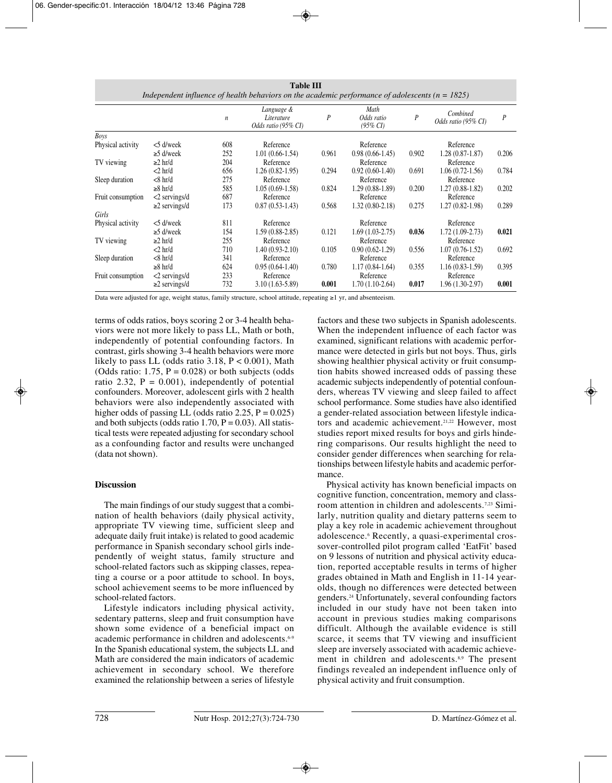| <b>Table III</b><br>Independent influence of health behaviors on the academic performance of adolescents ( $n = 1825$ ) |                                 |                  |                                                 |                  |                                |                  |                                 |                  |
|-------------------------------------------------------------------------------------------------------------------------|---------------------------------|------------------|-------------------------------------------------|------------------|--------------------------------|------------------|---------------------------------|------------------|
|                                                                                                                         |                                 | $\boldsymbol{n}$ | Language &<br>Literature<br>Odds ratio (95% CI) | $\boldsymbol{P}$ | Math<br>Odds ratio<br>(95% CI) | $\boldsymbol{P}$ | Combined<br>Odds ratio (95% CI) | $\boldsymbol{P}$ |
| Boys                                                                                                                    |                                 |                  |                                                 |                  |                                |                  |                                 |                  |
| Physical activity                                                                                                       | $<$ 5 d/week<br>$\geq$ 5 d/week | 608<br>252       | Reference<br>$1.01(0.66-1.54)$                  | 0.961            | Reference<br>$0.98(0.66-1.45)$ | 0.902            | Reference<br>$1.28(0.87-1.87)$  | 0.206            |
| TV viewing                                                                                                              | ≥2 hr/d<br>$<$ 2 hr/d           | 204<br>656       | Reference<br>$1.26(0.82-1.95)$                  | 0.294            | Reference<br>$0.92(0.60-1.40)$ | 0.691            | Reference<br>$1.06(0.72-1.56)$  | 0.784            |
| Sleep duration                                                                                                          | $<8$ hr/d                       | 275              | Reference                                       |                  | Reference                      |                  | Reference                       |                  |
| Fruit consumption                                                                                                       | $≥ 8$ hr/d<br>$<$ 2 servings/d  | 585<br>687       | $1.05(0.69-1.58)$<br>Reference                  | 0.824            | $1.29(0.88-1.89)$<br>Reference | 0.200            | $1.27(0.88-1.82)$<br>Reference  | 0.202            |
|                                                                                                                         | $\geq$ 2 servings/d             | 173              | $0.87(0.53-1.43)$                               | 0.568            | $1.32(0.80-2.18)$              | 0.275            | $1.27(0.82 - 1.98)$             | 0.289            |
| Girls                                                                                                                   |                                 |                  |                                                 |                  |                                |                  |                                 |                  |
| Physical activity                                                                                                       | $<$ 5 d/week<br>$\geq$ 5 d/week | 811<br>154       | Reference<br>$1.59(0.88-2.85)$                  | 0.121            | Reference<br>$1.69(1.03-2.75)$ | 0.036            | Reference<br>$1.72(1.09-2.73)$  | 0.021            |
| TV viewing                                                                                                              | ≥2 hr/d<br>$<$ 2 hr/d           | 255<br>710       | Reference<br>$1.40(0.93-2.10)$                  | 0.105            | Reference<br>$0.90(0.62-1.29)$ | 0.556            | Reference<br>$1.07(0.76-1.52)$  | 0.692            |
| Sleep duration                                                                                                          | $<8$ hr/d                       | 341              | Reference                                       |                  | Reference                      |                  | Reference                       |                  |
| Fruit consumption                                                                                                       | $≥ 8$ hr/d<br>$<$ 2 servings/d  | 624<br>233       | $0.95(0.64-1.40)$<br>Reference                  | 0.780            | $1.17(0.84-1.64)$<br>Reference | 0.355            | $1.16(0.83-1.59)$<br>Reference  | 0.395            |
|                                                                                                                         | $\geq$ 2 servings/d             | 732              | $3.10(1.63-5.89)$                               | 0.001            | 1.70 (1.10-2.64)               | 0.017            | $1.96(1.30-2.97)$               | 0.001            |

Data were adjusted for age, weight status, family structure, school attitude, repeating ≥1 yr, and absenteeism.

terms of odds ratios, boys scoring 2 or 3-4 health behaviors were not more likely to pass LL, Math or both, independently of potential confounding factors. In contrast, girls showing 3-4 health behaviors were more likely to pass LL (odds ratio 3.18, P < 0.001), Math (Odds ratio: 1.75,  $P = 0.028$ ) or both subjects (odds ratio 2.32,  $P = 0.001$ ), independently of potential confounders. Moreover, adolescent girls with 2 health behaviors were also independently associated with higher odds of passing LL (odds ratio 2.25,  $P = 0.025$ ) and both subjects (odds ratio  $1.70$ ,  $P = 0.03$ ). All statistical tests were repeated adjusting for secondary school as a confounding factor and results were unchanged (data not shown).

## **Discussion**

The main findings of our study suggest that a combination of health behaviors (daily physical activity, appropriate TV viewing time, sufficient sleep and adequate daily fruit intake) is related to good academic performance in Spanish secondary school girls independently of weight status, family structure and school-related factors such as skipping classes, repeating a course or a poor attitude to school. In boys, school achievement seems to be more influenced by school-related factors.

Lifestyle indicators including physical activity, sedentary patterns, sleep and fruit consumption have shown some evidence of a beneficial impact on academic performance in children and adolescents.6-9 In the Spanish educational system, the subjects LL and Math are considered the main indicators of academic achievement in secondary school. We therefore examined the relationship between a series of lifestyle

factors and these two subjects in Spanish adolescents. When the independent influence of each factor was examined, significant relations with academic performance were detected in girls but not boys. Thus, girls showing healthier physical activity or fruit consumption habits showed increased odds of passing these academic subjects independently of potential confounders, whereas TV viewing and sleep failed to affect school performance. Some studies have also identified a gender-related association between lifestyle indicators and academic achievement.<sup>21,22</sup> However, most studies report mixed results for boys and girls hindering comparisons. Our results highlight the need to consider gender differences when searching for relationships between lifestyle habits and academic performance.

Physical activity has known beneficial impacts on cognitive function, concentration, memory and classroom attention in children and adolescents.7,23 Similarly, nutrition quality and dietary patterns seem to play a key role in academic achievement throughout adolescence.6 Recently, a quasi-experimental crossover-controlled pilot program called 'EatFit' based on 9 lessons of nutrition and physical activity education, reported acceptable results in terms of higher grades obtained in Math and English in 11-14 yearolds, though no differences were detected between genders.24 Unfortunately, several confounding factors included in our study have not been taken into account in previous studies making comparisons difficult. Although the available evidence is still scarce, it seems that TV viewing and insufficient sleep are inversely associated with academic achievement in children and adolescents.<sup>8,9</sup> The present findings revealed an independent influence only of physical activity and fruit consumption.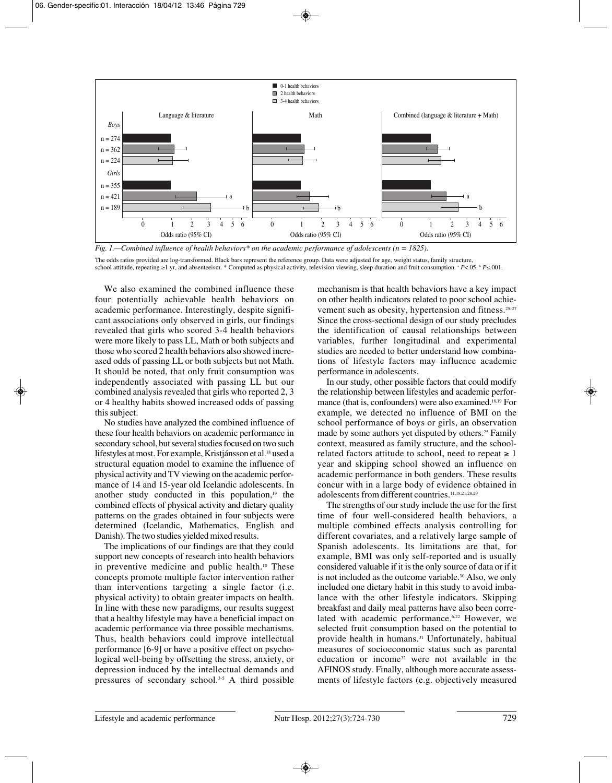

*Fig. 1.—Combined influence of health behaviors\* on the academic performance of adolescents (n = 1825).*

The odds ratios provided are log-transformed. Black bars represent the reference group. Data were adjusted for age, weight status, family structure, school attitude, repeating ≥1 yr, and absenteeism. \* Computed as physical activity, television viewing, sleep duration and fruit consumption. *\* P*<.05. *\* P*≤.001.

We also examined the combined influence these four potentially achievable health behaviors on academic performance. Interestingly, despite significant associations only observed in girls, our findings revealed that girls who scored 3-4 health behaviors were more likely to pass LL, Math or both subjects and those who scored 2 health behaviors also showed increased odds of passing LL or both subjects but not Math. It should be noted, that only fruit consumption was independently associated with passing LL but our combined analysis revealed that girls who reported 2, 3 or 4 healthy habits showed increased odds of passing this subject.

No studies have analyzed the combined influence of these four health behaviors on academic performance in secondary school, but several studies focused on two such lifestyles at most. For example, Kristjánsson et al.<sup>18</sup> used a structural equation model to examine the influence of physical activity and TV viewing on the academic performance of 14 and 15-year old Icelandic adolescents. In another study conducted in this population, $19$  the combined effects of physical activity and dietary quality patterns on the grades obtained in four subjects were determined (Icelandic, Mathematics, English and Danish). The two studies yielded mixed results.

The implications of our findings are that they could support new concepts of research into health behaviors in preventive medicine and public health.<sup>10</sup> These concepts promote multiple factor intervention rather than interventions targeting a single factor (i.e. physical activity) to obtain greater impacts on health. In line with these new paradigms, our results suggest that a healthy lifestyle may have a beneficial impact on academic performance via three possible mechanisms. Thus, health behaviors could improve intellectual performance [6-9] or have a positive effect on psychological well-being by offsetting the stress, anxiety, or depression induced by the intellectual demands and pressures of secondary school.3-5 A third possible mechanism is that health behaviors have a key impact on other health indicators related to poor school achievement such as obesity, hypertension and fitness.25-27 Since the cross-sectional design of our study precludes the identification of causal relationships between variables, further longitudinal and experimental studies are needed to better understand how combinations of lifestyle factors may influence academic performance in adolescents.

In our study, other possible factors that could modify the relationship between lifestyles and academic performance (that is, confounders) were also examined.<sup>18,19</sup> For example, we detected no influence of BMI on the school performance of boys or girls, an observation made by some authors yet disputed by others.<sup>25</sup> Family context, measured as family structure, and the schoolrelated factors attitude to school, need to repeat  $\geq 1$ year and skipping school showed an influence on academic performance in both genders. These results concur with in a large body of evidence obtained in adolescents from different countries.11,18,21,28,29

The strengths of our study include the use for the first time of four well-considered health behaviors, a multiple combined effects analysis controlling for different covariates, and a relatively large sample of Spanish adolescents. Its limitations are that, for example, BMI was only self-reported and is usually considered valuable if it is the only source of data or if it is not included as the outcome variable.<sup>30</sup> Also, we only included one dietary habit in this study to avoid imbalance with the other lifestyle indicators. Skipping breakfast and daily meal patterns have also been correlated with academic performance.<sup>6,22</sup> However, we selected fruit consumption based on the potential to provide health in humans.<sup>31</sup> Unfortunately, habitual measures of socioeconomic status such as parental education or income32 were not available in the AFINOS study. Finally, although more accurate assessments of lifestyle factors (e.g. objectively measured